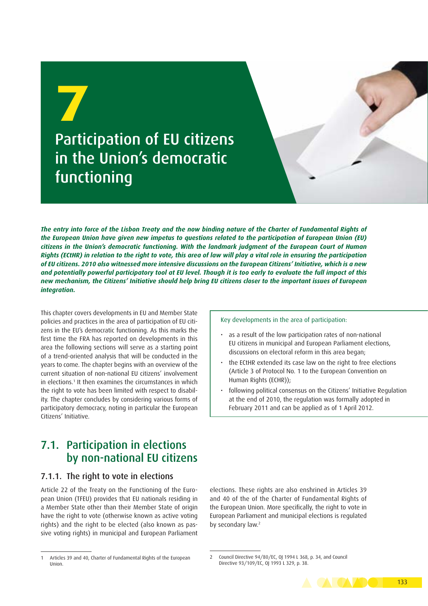

*The entry into force of the Lisbon Treaty and the now binding nature of the Charter of Fundamental Rights of the European Union have given new impetus to questions related to the participation of European Union (EU) citizens in the Union's democratic functioning. With the landmark judgment of the European Court of Human Rights (ECtHR) in relation to the right to vote, this area of law will play a vital role in ensuring the participation of EU citizens. 2010 also witnessed more intensive discussions on the European Citizens' Initiative, which is a new and potentially powerful participatory tool at EU level. Though it is too early to evaluate the full impact of this new mechanism, the Citizens' Initiative should help bring EU citizens closer to the important issues of European integration.*

This chapter covers developments in EU and Member State policies and practices in the area of participation of EU citizens in the EU's democratic functioning. As this marks the first time the FRA has reported on developments in this area the following sections will serve as a starting point of a trend-oriented analysis that will be conducted in the years to come. The chapter begins with an overview of the current situation of non-national EU citizens' involvement in elections.<sup>1</sup> It then examines the circumstances in which the right to vote has been limited with respect to disability. The chapter concludes by considering various forms of participatory democracy, noting in particular the European Citizens' Initiative.

## 7.1. Participation in elections by non-national EU citizens

#### 7.1.1. The right to vote in elections

Article 22 of the Treaty on the Functioning of the European Union (TFEU) provides that EU nationals residing in a Member State other than their Member State of origin have the right to vote (otherwise known as active voting rights) and the right to be elected (also known as passive voting rights) in municipal and European Parliament Key developments in the area of participation:

- as a result of the low participation rates of non-national EU citizens in municipal and European Parliament elections, discussions on electoral reform in this area began;
- the ECtHR extended its case law on the right to free elections (Article 3 of Protocol No. 1 to the European Convention on Human Rights (ECHR));
- following political consensus on the Citizens' Initiative Regulation at the end of 2010, the regulation was formally adopted in February 2011 and can be applied as of 1 April 2012.

elections. These rights are also enshrined in Articles 39 and 40 of the of the Charter of Fundamental Rights of the European Union. More specifically, the right to vote in European Parliament and municipal elections is regulated by secondary law.<sup>2</sup>

<sup>2</sup> Council Directive 94/80/EC, OJ 1994 L 368, p. 34, and Council Directive 93/109/EC, OJ 1993 L 329, p. 38.



<sup>1</sup> Articles 39 and 40, Charter of Fundamental Rights of the European Union.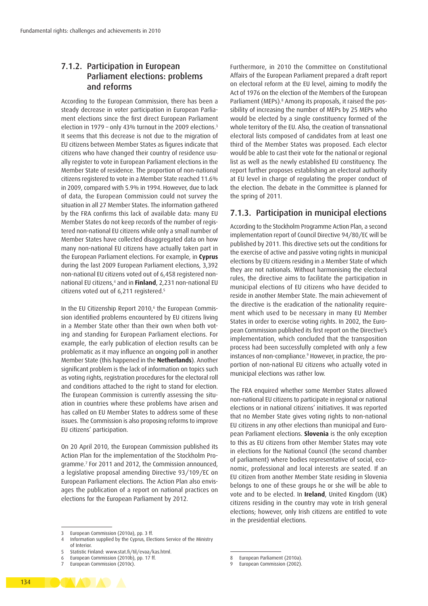#### 7.1.2. Participation in European Parliament elections: problems and reforms

According to the European Commission, there has been a steady decrease in voter participation in European Parliament elections since the first direct European Parliament election in 1979 - only 43% turnout in the 2009 elections.<sup>3</sup> It seems that this decrease is not due to the migration of EU citizens between Member States as figures indicate that citizens who have changed their country of residence usually register to vote in European Parliament elections in the Member State of residence. The proportion of non-national citizens registered to vote in a Member State reached 11.6% in 2009, compared with 5.9% in 1994. However, due to lack of data, the European Commission could not survey the situation in all 27 Member States. The information gathered by the FRA confirms this lack of available data: many EU Member States do not keep records of the number of registered non-national EU citizens while only a small number of Member States have collected disaggregated data on how many non-national EU citizens have actually taken part in the European Parliament elections. For example, in **Cyprus** during the last 2009 European Parliament elections, 3,392 non-national EU citizens voted out of 6,458 registered nonnational EU citizens,4 and in **Finland**, 2,231 non-national EU citizens voted out of 6,211 registered.5

In the EU Citizenship Report 2010,<sup>6</sup> the European Commission identified problems encountered by EU citizens living in a Member State other than their own when both voting and standing for European Parliament elections. For example, the early publication of election results can be problematic as it may influence an ongoing poll in another Member State (this happened in the **Netherlands**). Another significant problem is the lack of information on topics such as voting rights, registration procedures for the electoral roll and conditions attached to the right to stand for election. The European Commission is currently assessing the situation in countries where these problems have arisen and has called on EU Member States to address some of these issues. The Commission is also proposing reforms to improve EU citizens' participation.

On 20 April 2010, the European Commission published its Action Plan for the implementation of the Stockholm Programme.7 For 2011 and 2012, the Commission announced, a legislative proposal amending Directive 93/109/EC on European Parliament elections. The Action Plan also envisages the publication of a report on national practices on elections for the European Parliament by 2012.

Furthermore, in 2010 the Committee on Constitutional Affairs of the European Parliament prepared a draft report on electoral reform at the EU level, aiming to modify the Act of 1976 on the election of the Members of the European Parliament (MEPs).<sup>8</sup> Among its proposals, it raised the possibility of increasing the number of MEPs by 25 MEPs who would be elected by a single constituency formed of the whole territory of the EU. Also, the creation of transnational electoral lists composed of candidates from at least one third of the Member States was proposed. Each elector would be able to cast their vote for the national or regional list as well as the newly established EU constituency. The report further proposes establishing an electoral authority at EU level in charge of regulating the proper conduct of the election. The debate in the Committee is planned for the spring of 2011.

#### 7.1.3. Participation in municipal elections

According to the Stockholm Programme Action Plan, a second implementation report of Council Directive 94/80/EC will be published by 2011. This directive sets out the conditions for the exercise of active and passive voting rights in municipal elections by EU citizens residing in a Member State of which they are not nationals. Without harmonising the electoral rules, the directive aims to facilitate the participation in municipal elections of EU citizens who have decided to reside in another Member State. The main achievement of the directive is the eradication of the nationality requirement which used to be necessary in many EU Member States in order to exercise voting rights. In 2002, the European Commission published its first report on the Directive's implementation, which concluded that the transposition process had been successfully completed with only a few instances of non-compliance.<sup>9</sup> However, in practice, the proportion of non-national EU citizens who actually voted in municipal elections was rather low.

The FRA enquired whether some Member States allowed non-national EU citizens to participate in regional or national elections or in national citizens' initiatives. It was reported that no Member State gives voting rights to non-national EU citizens in any other elections than municipal and European Parliament elections. **Slovenia** is the only exception to this as EU citizens from other Member States may vote in elections for the National Council (the second chamber of parliament) where bodies representative of social, economic, professional and local interests are seated. If an EU citizen from another Member State residing in Slovenia belongs to one of these groups he or she will be able to vote and to be elected. In **Ireland**, United Kingdom (UK) citizens residing in the country may vote in Irish general elections; however, only Irish citizens are entitled to vote in the presidential elections.



<sup>3</sup> European Commission (2010a), pp. 3 ff.<br>4 Information supplied by the Cyprus. Elect

Information supplied by the Cyprus, Elections Service of the Ministry of Interior.

<sup>5</sup> Statistic Finland: [www.stat.fi/til/evaa/kas.html.](www.stat.fi/til/evaa/kas.html)

<sup>6</sup> European Commission (2010b), pp. 17 ff.

European Commission (2010c).

<sup>8</sup> European Parliament (2010a).<br>9 European Commission (2002).

European Commission (2002).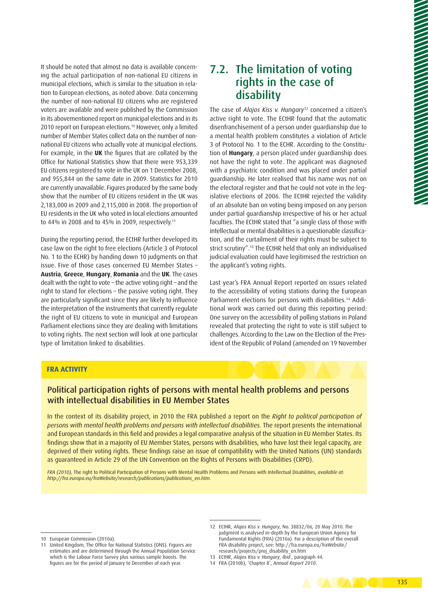7.2. The limitation of voting rights in the case of The case of *Alajos Kiss v. Hungary*<sup>12</sup> concerned a citizen's active right to vote. The ECtHR found that the automatic disenfranchisement of a person under guardianship due to a mental health problem constitutes a violation of Article 3 of Protocol No. 1 to the ECHR. According to the Constitution of **Hungary**, a person placed under guardianship does not have the right to vote. The applicant was diagnosed with a psychiatric condition and was placed under partial

guardianship. He later realised that his name was not on the electoral register and that he could not vote in the legislative elections of 2006. The ECtHR rejected the validity of an absolute ban on voting being imposed on any person under partial guardianship irrespective of his or her actual faculties. The ECtHR stated that "a single class of those with intellectual or mental disabilities is a questionable classification, and the curtailment of their rights must be subject to strict scrutiny".13 The ECtHR held that only an individualised judicial evaluation could have legitimised the restriction on the applicant's voting rights.

disability

Last year's FRA Annual Report reported on issues related to the accessibility of voting stations during the European Parliament elections for persons with disabilities.<sup>14</sup> Additional work was carried out during this reporting period: One survey on the accessibility of polling stations in Poland revealed that protecting the right to vote is still subject to challenges. According to the Law on the Election of the President of the Republic of Poland (amended on 19 November

#### **FRA ACTIVITY**

type of limitation linked to disabilities.

#### Political participation rights of persons with mental health problems and persons with intellectual disabilities in EU Member States

In the context of its disability project, in 2010 the FRA published a report on the *Right to political participation of persons with mental health problems and persons with intellectual disabilities.* The report presents the international and European standards in this field and provides a legal comparative analysis of the situation in EU Member States. Its findings show that in a majority of EU Member States, persons with disabilities, who have lost their legal capacity, are deprived of their voting rights. These findings raise an issue of compatibility with the United Nations (UN) standards as guaranteed in Article 29 of the UN Convention on the Rights of Persons with Disabilities (CRPD).

*FRA (2010),* The right to Political Participation of Persons with Mental Health Problems and Persons with Intellectual Disabilities, *available at: [http://fra.europa.eu/fraWebsite/research/publications/publications\\_en.htm.](http://fra.europa.eu/fraWebsite/research/publications/publications_en.htm)*

It should be noted that almost no data is available concerning the actual participation of non-national EU citizens in municipal elections, which is similar to the situation in relation to European elections, as noted above. Data concerning the number of non-national EU citizens who are registered voters are available and were published by the Commission in its abovementioned report on municipal elections and in its 2010 report on European elections.<sup>10</sup> However, only a limited number of Member States collect data on the number of nonnational EU citizens who actually vote at municipal elections. For example, in the **UK** the figures that are collated by the Office for National Statistics show that there were 953,339 EU citizens registered to vote in the UK on 1 December 2008, and 955,844 on the same date in 2009. Statistics for 2010 are currently unavailable. Figures produced by the same body show that the number of EU citizens resident in the UK was 2,183,000 in 2009 and 2,115,000 in 2008. The proportion of EU residents in the UK who voted in local elections amounted to 44% in 2008 and to 45% in 2009, respectively.11

During the reporting period, the ECtHR further developed its case law on the right to free elections (Article 3 of Protocol No. 1 to the ECHR) by handing down 10 judgments on that issue. Five of those cases concerned EU Member States – **Austria**, **Greece**, **Hungary**, **Romania** and the **UK**. The cases dealt with the right to vote – the active voting right – and the right to stand for elections – the passive voting right. They are particularly significant since they are likely to influence the interpretation of the instruments that currently regulate the right of EU citizens to vote in municipal and European Parliament elections since they are dealing with limitations to voting rights. The next section will look at one particular

- 13 ECtHR, *Alajos Kiss v. Hungary*, *Ibid.*, paragraph 44.
- 14 FRA (2010b), 'Chapter 8', *Annual Report 2010*.



<sup>10</sup> European Commission (2010a).

<sup>11</sup> United Kingdom, The Office for National Statistics (ONS). Figures are estimates and are determined through the Annual Population Service which is the Labour Force Survey plus various sample boosts. The figures are for the period of January to December of each year.

<sup>12</sup> ECtHR, *Alajos Kiss v. Hungary*, No. 38832/06, 20 May 2010. The judgment is analysed in-depth by the European Union Agency for Fundamental Rights (FRA) (2010a). For a description of the overall FRA disability project, see: [http://fra.europa.eu/fraWebsite/](http://fra.europa.eu/fraWebsite/research/projects/proj_disability_en.htm) [research/projects/proj\\_disability\\_en.htm](http://fra.europa.eu/fraWebsite/research/projects/proj_disability_en.htm)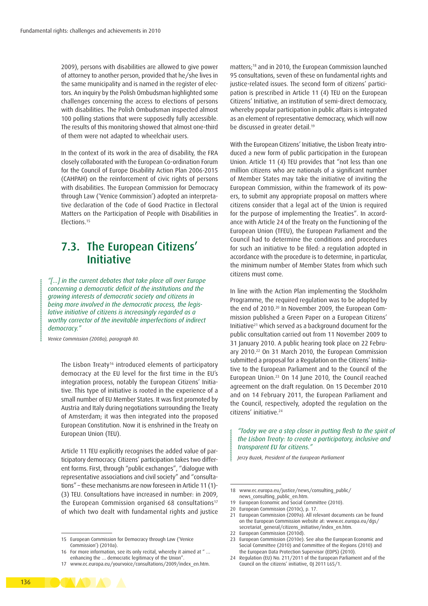2009), persons with disabilities are allowed to give power of attorney to another person, provided that he/she lives in the same municipality and is named in the register of electors. An inquiry by the Polish Ombudsman highlighted some challenges concerning the access to elections of persons with disabilities. The Polish Ombudsman inspected almost 100 polling stations that were supposedly fully accessible. The results of this monitoring showed that almost one-third of them were not adapted to wheelchair users.

In the context of its work in the area of disability, the FRA closely collaborated with the European Co-ordination Forum for the Council of Europe Disability Action Plan 2006-2015 (CAHPAH) on the reinforcement of civic rights of persons with disabilities. The European Commission for Democracy through Law ('Venice Commission') adopted an interpretative declaration of the Code of Good Practice in Electoral Matters on the Participation of People with Disabilities in Elections.15

### 7.3. The European Citizens' Initiative

*"[…] in the current debates that take place all over Europe concerning a democratic deficit of the institutions and the growing interests of democratic society and citizens in being more involved in the democratic process, the legislative initiative of citizens is increasingly regarded as a worthy corrector of the inevitable imperfections of indirect democracy."*

*Venice Commission (2008a), paragraph 80.*

The Lisbon Treaty<sup>16</sup> introduced elements of participatory democracy at the EU level for the first time in the EU's integration process, notably the European Citizens' Initiative. This type of initiative is rooted in the experience of a small number of EU Member States. It was first promoted by Austria and Italy during negotiations surrounding the Treaty of Amsterdam; it was then integrated into the proposed European Constitution. Now it is enshrined in the Treaty on European Union (TEU).

Article 11 TEU explicitly recognises the added value of participatory democracy. Citizens' participation takes two different forms. First, through "public exchanges", "dialogue with representative associations and civil society" and "consultations" – these mechanisms are now foreseen in Article 11 (1)- (3) TEU. Consultations have increased in number: in 2009, the European Commission organised 68 consultations<sup>17</sup> of which two dealt with fundamental rights and justice matters;18 and in 2010, the European Commission launched 95 consultations, seven of these on fundamental rights and justice-related issues. The second form of citizens' participation is prescribed in Article 11 (4) TEU on the European Citizens' Initiative, an institution of semi-direct democracy, whereby popular participation in public affairs is integrated as an element of representative democracy, which will now be discussed in greater detail.<sup>19</sup>

With the European Citizens' Initiative, the Lisbon Treaty introduced a new form of public participation in the European Union. Article 11 (4) TEU provides that "not less than one million citizens who are nationals of a significant number of Member States may take the initiative of inviting the European Commission, within the framework of its powers, to submit any appropriate proposal on matters where citizens consider that a legal act of the Union is required for the purpose of implementing the Treaties". In accordance with Article 24 of the Treaty on the Functioning of the European Union (TFEU), the European Parliament and the Council had to determine the conditions and procedures for such an initiative to be filed: a regulation adopted in accordance with the procedure is to determine, in particular, the minimum number of Member States from which such citizens must come.

In line with the Action Plan implementing the Stockholm Programme, the required regulation was to be adopted by the end of 2010.20 In November 2009, the European Commission published a Green Paper on a European Citizens' Initiative21 which served as a background document for the public consultation carried out from 11 November 2009 to 31 January 2010. A public hearing took place on 22 February 2010.22 On 31 March 2010, the European Commission submitted a proposal for a Regulation on the Citizens' Initiative to the European Parliament and to the Council of the European Union.23 On 14 June 2010, the Council reached agreement on the draft regulation. On 15 December 2010 and on 14 February 2011, the European Parliament and the Council, respectively, adopted the regulation on the citizens' initiative.24

*"Today we are a step closer in putting flesh to the spirit of the Lisbon Treaty: to create a participatory, inclusive and transparent EU for citizens."*

*Jerzy Buzek, President of the European Parliament*

19 European Economic and Social Committee (2010).



<sup>15</sup> European Commission for Democracy through Law ('Venice Commission') (2010a).

<sup>16</sup> For more information, see its only recital, whereby it aimed at " … enhancing the … democratic legitimacy of the Union".

<sup>17</sup> [www.ec.europa.eu/yourvoice/consultations/2009/index\\_en.htm](www.ec.europa.eu/yourvoice/consultations/2009/index_en.htm).

<sup>18</sup> [www.ec.europa.eu/justice/news/consulting\\_public/](www.ec.europa.eu/justice/news/consulting_public/news_consulting_public_en.htm) [news\\_consulting\\_public\\_en.htm.](www.ec.europa.eu/justice/news/consulting_public/news_consulting_public_en.htm)

<sup>20</sup> European Commission (2010c), p. 17.

<sup>21</sup> European Commission (2009a). All relevant documents can be found on the European Commission website at: [www.ec.europa.eu/dgs/](www.ec.europa.eu/dgs/secretariat_general/citizens_initiative/index_en.htm) [secretariat\\_general/citizens\\_initiative/index\\_en.htm](www.ec.europa.eu/dgs/secretariat_general/citizens_initiative/index_en.htm).

<sup>22</sup> European Commission (2010d).

<sup>23</sup> European Commission (2010e). See also the European Economic and Social Committee (2010) and Committee of the Regions (2010) and the European Data Protection Supervisor (EDPS) (2010).

<sup>24</sup> Regulation (EU) No. 211/2011 of the European Parliament and of the Council on the citizens' initiative, OJ 2011 L65/1.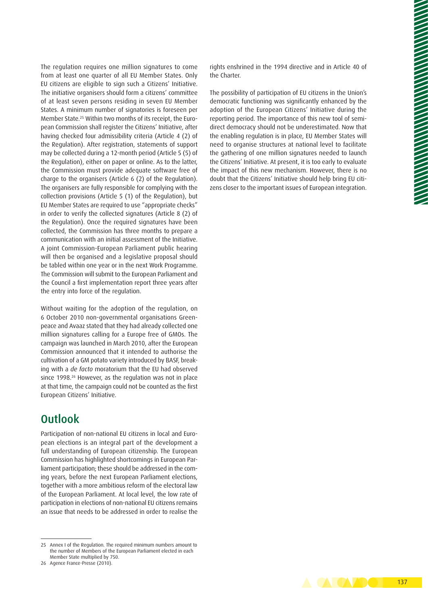The regulation requires one million signatures to come from at least one quarter of all EU Member States. Only EU citizens are eligible to sign such a Citizens' Initiative. The initiative organisers should form a citizens' committee of at least seven persons residing in seven EU Member States. A minimum number of signatories is foreseen per Member State.25 Within two months of its receipt, the European Commission shall register the Citizens' Initiative, after having checked four admissibility criteria (Article 4 (2) of the Regulation). After registration, statements of support may be collected during a 12-month period (Article 5 (5) of the Regulation), either on paper or online. As to the latter, the Commission must provide adequate software free of charge to the organisers (Article 6 (2) of the Regulation). The organisers are fully responsible for complying with the collection provisions (Article 5 (1) of the Regulation), but EU Member States are required to use "appropriate checks" in order to verify the collected signatures (Article 8 (2) of the Regulation). Once the required signatures have been collected, the Commission has three months to prepare a communication with an initial assessment of the Initiative. A joint Commission-European Parliament public hearing will then be organised and a legislative proposal should be tabled within one year or in the next Work Programme. The Commission will submit to the European Parliament and the Council a first implementation report three years after the entry into force of the regulation.

Without waiting for the adoption of the regulation, on 6 October 2010 non-governmental organisations Greenpeace and Avaaz stated that they had already collected one million signatures calling for a Europe free of GMOs. The campaign was launched in March 2010, after the European Commission announced that it intended to authorise the cultivation of a GM potato variety introduced by BASF, breaking with a *de facto* moratorium that the EU had observed since 1998.<sup>26</sup> However, as the regulation was not in place at that time, the campaign could not be counted as the first European Citizens' Initiative.

## **Outlook**

Participation of non-national EU citizens in local and European elections is an integral part of the development a full understanding of European citizenship. The European Commission has highlighted shortcomings in European Parliament participation; these should be addressed in the coming years, before the next European Parliament elections, together with a more ambitious reform of the electoral law of the European Parliament. At local level, the low rate of participation in elections of non-national EU citizens remains an issue that needs to be addressed in order to realise the

rights enshrined in the 1994 directive and in Article 40 of the Charter.

The possibility of participation of EU citizens in the Union's democratic functioning was significantly enhanced by the adoption of the European Citizens' Initiative during the reporting period. The importance of this new tool of semidirect democracy should not be underestimated. Now that the enabling regulation is in place, EU Member States will need to organise structures at national level to facilitate the gathering of one million signatures needed to launch the Citizens' Initiative. At present, it is too early to evaluate the impact of this new mechanism. However, there is no doubt that the Citizens' Initiative should help bring EU citizens closer to the important issues of European integration. 

<sup>25</sup> Annex I of the Regulation. The required minimum numbers amount to the number of Members of the European Parliament elected in each Member State multiplied by 750.

<sup>26</sup> Agence France-Presse (2010).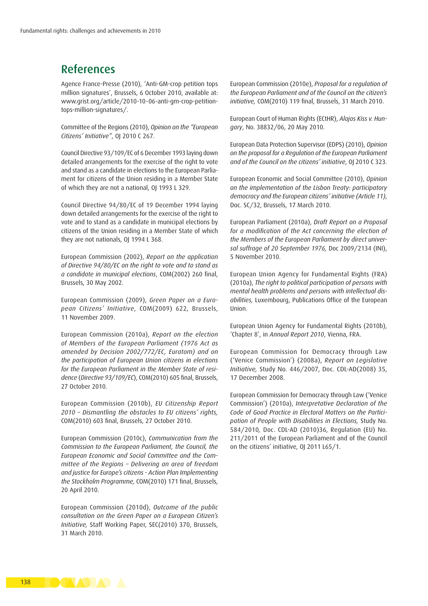## References

Agence France-Presse (2010), 'Anti-GM-crop petition tops million signatures', Brussels, 6 October 2010, available at: [www.grist.org/article/2010-10-06-anti-gm-crop-petition](www.grist.org/article/2010-10-06-anti-gm-crop-petition-tops-million-signatures/)[tops-million-signatures/](www.grist.org/article/2010-10-06-anti-gm-crop-petition-tops-million-signatures/).

Committee of the Regions (2010), *Opinion on the "European Citizens' Initiative"*, OJ 2010 C 267.

Council Directive 93/109/EC of 6 December 1993 laying down detailed arrangements for the exercise of the right to vote and stand as a candidate in elections to the European Parliament for citizens of the Union residing in a Member State of which they are not a national, OJ 1993 L 329.

Council Directive 94/80/EC of 19 December 1994 laying down detailed arrangements for the exercise of the right to vote and to stand as a candidate in municipal elections by citizens of the Union residing in a Member State of which they are not nationals, OJ 1994 L 368.

European Commission (2002), *Report on the application of Directive 94/80/EC on the right to vote and to stand as a candidate in municipal elections*, COM(2002) 260 final, Brussels, 30 May 2002.

European Commission (2009), *Green Paper on a European Citizens' Initiative*, COM(2009) 622, Brussels, 11 November 2009.

European Commission (2010a), *Report on the election of Members of the European Parliament (1976 Act as amended by Decision 2002/772/EC, Euratom) and on the participation of European Union citizens in elections for the European Parliament in the Member State of residence* (*Directive 93/109/EC*), COM(2010) 605 final, Brussels, 27 October 2010.

European Commission (2010b), *EU Citizenship Report 2010 – Dismantling the obstacles to EU citizens' rights,* COM(2010) 603 final, Brussels, 27 October 2010.

European Commission (2010c), *Communication from the Commission to the European Parliament, the Council, the European Economic and Social Committee and the Committee of the Regions – Delivering an area of freedom and justice for Europe's citizens - Action Plan Implementing the Stockholm Programme,* COM(2010) 171 final, Brussels, 20 April 2010.

European Commission (2010d), *Outcome of the public consultation on the Green Paper on a European Citizen's Initiative,* Staff Working Paper, SEC(2010) 370, Brussels, 31 March 2010.

European Commission (2010e), *Proposal for a regulation of the European Parliament and of the Council on the citizen's initiative,* COM(2010) 119 final, Brussels, 31 March 2010.

European Court of Human Rights (ECtHR), *Alajos Kiss v. Hungary*, No. 38832/06, 20 May 2010.

European Data Protection Supervisor (EDPS) (2010), *Opinion on the proposal for a Regulation of the European Parliament and of the Council on the citizens' initiative*, OJ 2010 C 323.

European Economic and Social Committee (2010), *Opinion on the implementation of the Lisbon Treaty: participatory democracy and the European citizens' initiative (Article 11)*, Doc. SC/32, Brussels, 17 March 2010.

European Parliament (2010a), *Draft Report on a Proposal for a modification of the Act concerning the election of the Members of the European Parliament by direct universal suffrage of 20 September 1976,* Doc 2009/2134 (INI), 5 November 2010.

European Union Agency for Fundamental Rights (FRA) (2010a), *The right to political participation of persons with mental health problems and persons with intellectual disabilities,* Luxembourg, Publications Office of the European Union.

European Union Agency for Fundamental Rights (2010b), 'Chapter 8', in *Annual Report 2010*, Vienna, FRA.

European Commission for Democracy through Law ('Venice Commission') (2008a), *Report on Legislative Initiative,* Study No. 446/2007, Doc. CDL-AD(2008) 35, 17 December 2008.

European Commission for Democracy through Law ('Venice Commission') (2010a), *Interpretative Declaration of the Code of Good Practice in Electoral Matters on the Participation of People with Disabilities in Elections,* Study No. 584/2010*,* Doc. CDL-AD (2010)36, Regulation (EU) No. 211/2011 of the European Parliament and of the Council on the citizens' initiative, OJ 2011 L65/1.